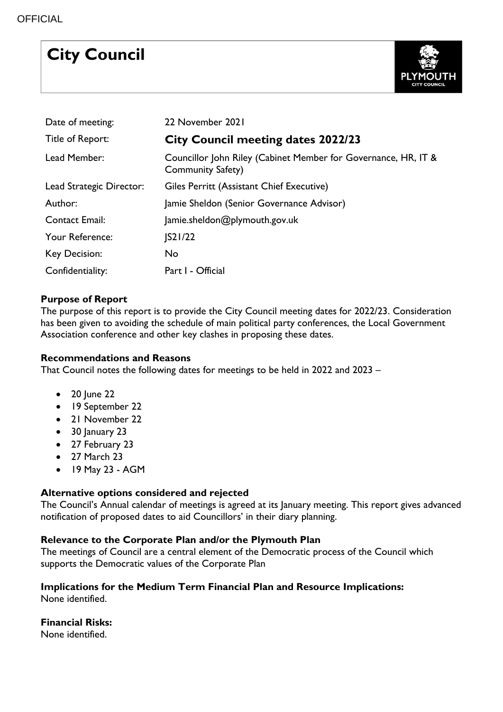# **City Council**



| Date of meeting:         | 22 November 2021                                                                    |
|--------------------------|-------------------------------------------------------------------------------------|
| Title of Report:         | <b>City Council meeting dates 2022/23</b>                                           |
| Lead Member:             | Councillor John Riley (Cabinet Member for Governance, HR, IT &<br>Community Safety) |
| Lead Strategic Director: | Giles Perritt (Assistant Chief Executive)                                           |
| Author:                  | Jamie Sheldon (Senior Governance Advisor)                                           |
| <b>Contact Email:</b>    | Jamie.sheldon@plymouth.gov.uk                                                       |
| Your Reference:          | $ S2 /22$                                                                           |
| Key Decision:            | No                                                                                  |
| Confidentiality:         | Part I - Official                                                                   |

# **Purpose of Report**

The purpose of this report is to provide the City Council meeting dates for 2022/23. Consideration has been given to avoiding the schedule of main political party conferences, the Local Government Association conference and other key clashes in proposing these dates.

## **Recommendations and Reasons**

That Council notes the following dates for meetings to be held in 2022 and 2023 –

- $\bullet$  20 June 22
- 19 September 22
- 21 November 22
- $\bullet$  30 January 23
- 27 February 23
- 27 March 23
- 19 May 23 AGM

## **Alternative options considered and rejected**

The Council's Annual calendar of meetings is agreed at its January meeting. This report gives advanced notification of proposed dates to aid Councillors' in their diary planning.

## **Relevance to the Corporate Plan and/or the Plymouth Plan**

The meetings of Council are a central element of the Democratic process of the Council which supports the Democratic values of the Corporate Plan

#### **Implications for the Medium Term Financial Plan and Resource Implications:**  None identified.

## **Financial Risks:**

None identified.